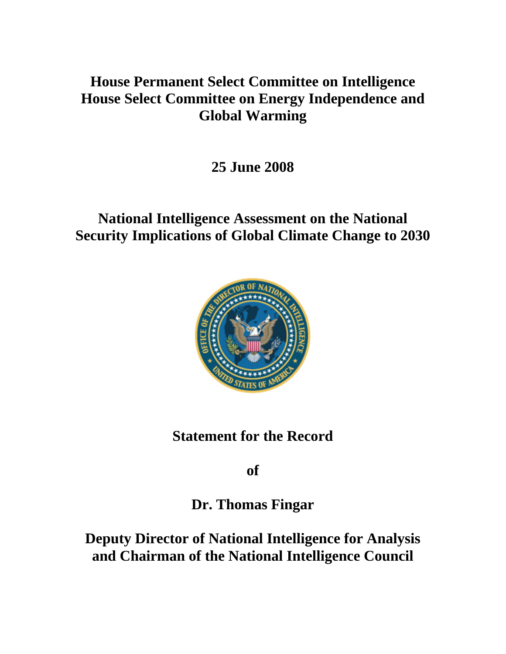# **House Permanent Select Committee on Intelligence House Select Committee on Energy Independence and Global Warming**

**25 June 2008** 

# **National Intelligence Assessment on the National Security Implications of Global Climate Change to 2030**



## **Statement for the Record**

**of** 

# **Dr. Thomas Fingar**

**Deputy Director of National Intelligence for Analysis and Chairman of the National Intelligence Council**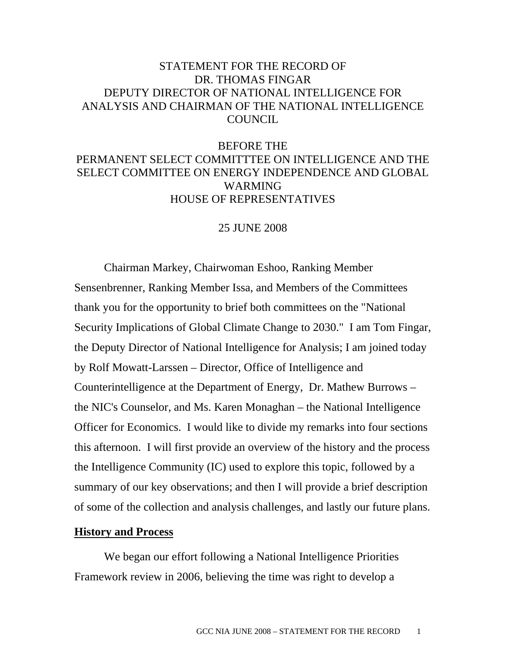### STATEMENT FOR THE RECORD OF DR. THOMAS FINGAR DEPUTY DIRECTOR OF NATIONAL INTELLIGENCE FOR ANALYSIS AND CHAIRMAN OF THE NATIONAL INTELLIGENCE COUNCIL

### BEFORE THE PERMANENT SELECT COMMITTTEE ON INTELLIGENCE AND THE SELECT COMMITTEE ON ENERGY INDEPENDENCE AND GLOBAL WARMING HOUSE OF REPRESENTATIVES

#### 25 JUNE 2008

Chairman Markey, Chairwoman Eshoo, Ranking Member Sensenbrenner, Ranking Member Issa, and Members of the Committees thank you for the opportunity to brief both committees on the "National Security Implications of Global Climate Change to 2030." I am Tom Fingar, the Deputy Director of National Intelligence for Analysis; I am joined today by Rolf Mowatt-Larssen – Director, Office of Intelligence and Counterintelligence at the Department of Energy, Dr. Mathew Burrows – the NIC's Counselor, and Ms. Karen Monaghan – the National Intelligence Officer for Economics. I would like to divide my remarks into four sections this afternoon. I will first provide an overview of the history and the process the Intelligence Community (IC) used to explore this topic, followed by a summary of our key observations; and then I will provide a brief description of some of the collection and analysis challenges, and lastly our future plans.

#### **History and Process**

 We began our effort following a National Intelligence Priorities Framework review in 2006, believing the time was right to develop a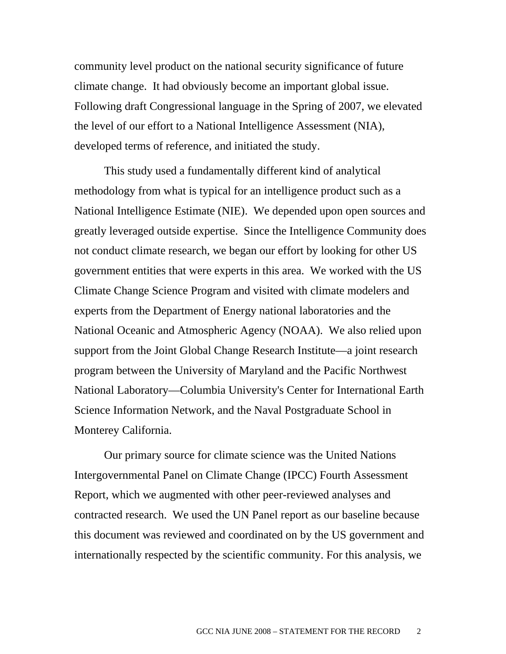community level product on the national security significance of future climate change. It had obviously become an important global issue. Following draft Congressional language in the Spring of 2007, we elevated the level of our effort to a National Intelligence Assessment (NIA), developed terms of reference, and initiated the study.

 This study used a fundamentally different kind of analytical methodology from what is typical for an intelligence product such as a National Intelligence Estimate (NIE). We depended upon open sources and greatly leveraged outside expertise. Since the Intelligence Community does not conduct climate research, we began our effort by looking for other US government entities that were experts in this area. We worked with the US Climate Change Science Program and visited with climate modelers and experts from the Department of Energy national laboratories and the National Oceanic and Atmospheric Agency (NOAA). We also relied upon support from the Joint Global Change Research Institute—a joint research program between the University of Maryland and the Pacific Northwest National Laboratory—Columbia University's Center for International Earth Science Information Network, and the Naval Postgraduate School in Monterey California.

 Our primary source for climate science was the United Nations Intergovernmental Panel on Climate Change (IPCC) Fourth Assessment Report, which we augmented with other peer-reviewed analyses and contracted research. We used the UN Panel report as our baseline because this document was reviewed and coordinated on by the US government and internationally respected by the scientific community. For this analysis, we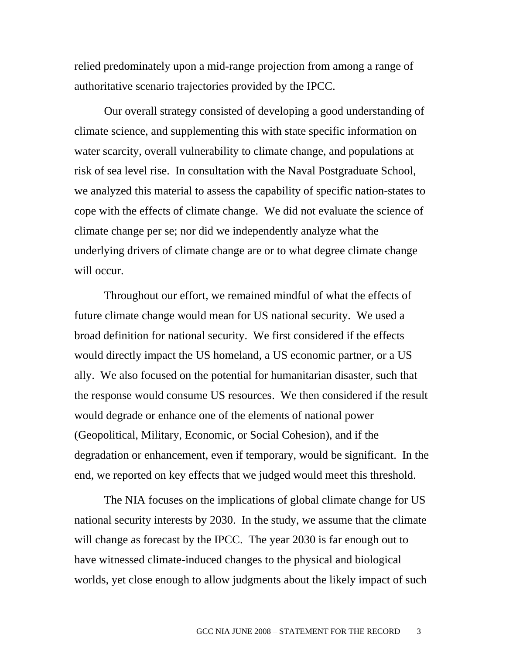relied predominately upon a mid-range projection from among a range of authoritative scenario trajectories provided by the IPCC.

 Our overall strategy consisted of developing a good understanding of climate science, and supplementing this with state specific information on water scarcity, overall vulnerability to climate change, and populations at risk of sea level rise. In consultation with the Naval Postgraduate School, we analyzed this material to assess the capability of specific nation-states to cope with the effects of climate change. We did not evaluate the science of climate change per se; nor did we independently analyze what the underlying drivers of climate change are or to what degree climate change will occur.

 Throughout our effort, we remained mindful of what the effects of future climate change would mean for US national security. We used a broad definition for national security. We first considered if the effects would directly impact the US homeland, a US economic partner, or a US ally. We also focused on the potential for humanitarian disaster, such that the response would consume US resources. We then considered if the result would degrade or enhance one of the elements of national power (Geopolitical, Military, Economic, or Social Cohesion), and if the degradation or enhancement, even if temporary, would be significant. In the end, we reported on key effects that we judged would meet this threshold.

 The NIA focuses on the implications of global climate change for US national security interests by 2030. In the study, we assume that the climate will change as forecast by the IPCC. The year 2030 is far enough out to have witnessed climate-induced changes to the physical and biological worlds, yet close enough to allow judgments about the likely impact of such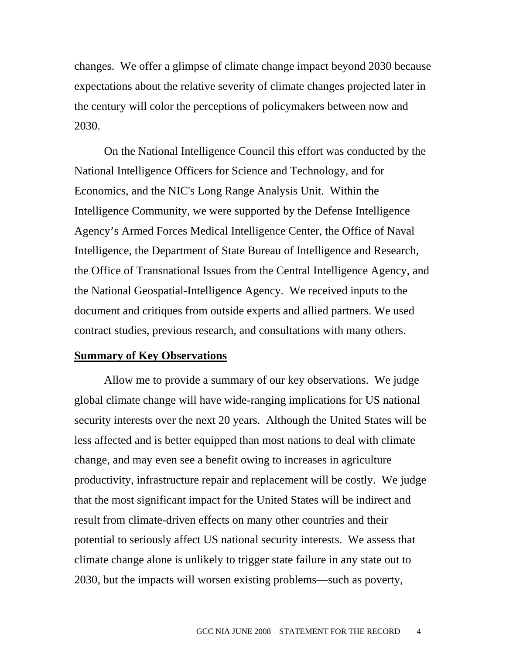changes. We offer a glimpse of climate change impact beyond 2030 because expectations about the relative severity of climate changes projected later in the century will color the perceptions of policymakers between now and 2030.

 On the National Intelligence Council this effort was conducted by the National Intelligence Officers for Science and Technology, and for Economics, and the NIC's Long Range Analysis Unit. Within the Intelligence Community, we were supported by the Defense Intelligence Agency's Armed Forces Medical Intelligence Center, the Office of Naval Intelligence, the Department of State Bureau of Intelligence and Research, the Office of Transnational Issues from the Central Intelligence Agency, and the National Geospatial-Intelligence Agency. We received inputs to the document and critiques from outside experts and allied partners. We used contract studies, previous research, and consultations with many others.

#### **Summary of Key Observations**

 Allow me to provide a summary of our key observations. We judge global climate change will have wide-ranging implications for US national security interests over the next 20 years. Although the United States will be less affected and is better equipped than most nations to deal with climate change, and may even see a benefit owing to increases in agriculture productivity, infrastructure repair and replacement will be costly. We judge that the most significant impact for the United States will be indirect and result from climate-driven effects on many other countries and their potential to seriously affect US national security interests. We assess that climate change alone is unlikely to trigger state failure in any state out to 2030, but the impacts will worsen existing problems—such as poverty,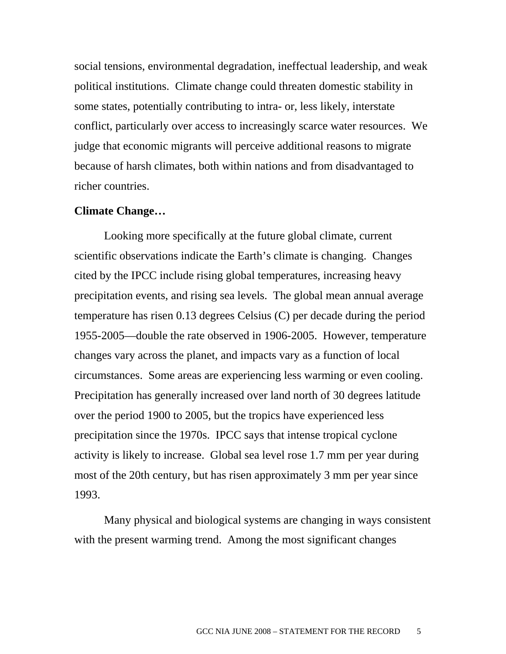social tensions, environmental degradation, ineffectual leadership, and weak political institutions. Climate change could threaten domestic stability in some states, potentially contributing to intra- or, less likely, interstate conflict, particularly over access to increasingly scarce water resources. We judge that economic migrants will perceive additional reasons to migrate because of harsh climates, both within nations and from disadvantaged to richer countries.

#### **Climate Change…**

 Looking more specifically at the future global climate, current scientific observations indicate the Earth's climate is changing. Changes cited by the IPCC include rising global temperatures, increasing heavy precipitation events, and rising sea levels. The global mean annual average temperature has risen 0.13 degrees Celsius (C) per decade during the period 1955-2005—double the rate observed in 1906-2005. However, temperature changes vary across the planet, and impacts vary as a function of local circumstances. Some areas are experiencing less warming or even cooling. Precipitation has generally increased over land north of 30 degrees latitude over the period 1900 to 2005, but the tropics have experienced less precipitation since the 1970s. IPCC says that intense tropical cyclone activity is likely to increase. Global sea level rose 1.7 mm per year during most of the 20th century, but has risen approximately 3 mm per year since 1993.

 Many physical and biological systems are changing in ways consistent with the present warming trend. Among the most significant changes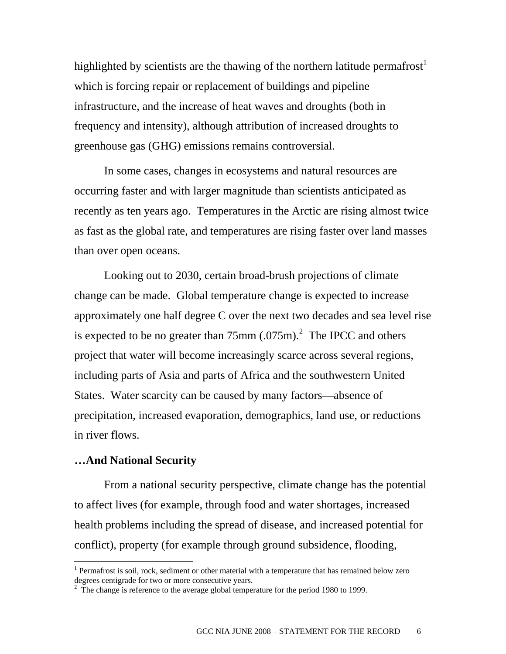highlighted by scientists are the thawing of the northern latitude permafrost<sup>1</sup> which is forcing repair or replacement of buildings and pipeline infrastructure, and the increase of heat waves and droughts (both in frequency and intensity), although attribution of increased droughts to greenhouse gas (GHG) emissions remains controversial.

 In some cases, changes in ecosystems and natural resources are occurring faster and with larger magnitude than scientists anticipated as recently as ten years ago. Temperatures in the Arctic are rising almost twice as fast as the global rate, and temperatures are rising faster over land masses than over open oceans.

 Looking out to 2030, certain broad-brush projections of climate change can be made. Global temperature change is expected to increase approximately one half degree C over the next two decades and sea level rise is expected to be no greater than  $75 \text{mm}$  (.075m).<sup>2</sup> The IPCC and others project that water will become increasingly scarce across several regions, including parts of Asia and parts of Africa and the southwestern United States. Water scarcity can be caused by many factors—absence of precipitation, increased evaporation, demographics, land use, or reductions in river flows.

#### **…And National Security**

 $\overline{a}$ 

 From a national security perspective, climate change has the potential to affect lives (for example, through food and water shortages, increased health problems including the spread of disease, and increased potential for conflict), property (for example through ground subsidence, flooding,

<sup>&</sup>lt;sup>1</sup> Permafrost is soil, rock, sediment or other material with a temperature that has remained below zero degrees centigrade for two or more consecutive years.

 $2\degree$  The change is reference to the average global temperature for the period 1980 to 1999.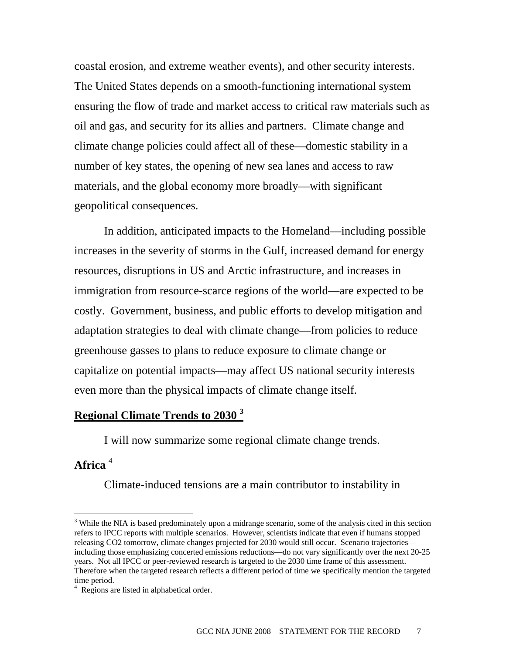coastal erosion, and extreme weather events), and other security interests. The United States depends on a smooth-functioning international system ensuring the flow of trade and market access to critical raw materials such as oil and gas, and security for its allies and partners. Climate change and climate change policies could affect all of these—domestic stability in a number of key states, the opening of new sea lanes and access to raw materials, and the global economy more broadly—with significant geopolitical consequences.

 In addition, anticipated impacts to the Homeland—including possible increases in the severity of storms in the Gulf, increased demand for energy resources, disruptions in US and Arctic infrastructure, and increases in immigration from resource-scarce regions of the world—are expected to be costly. Government, business, and public efforts to develop mitigation and adaptation strategies to deal with climate change—from policies to reduce greenhouse gasses to plans to reduce exposure to climate change or capitalize on potential impacts—may affect US national security interests even more than the physical impacts of climate change itself.

## **Regional Climate Trends to 2030 <sup>3</sup>**

I will now summarize some regional climate change trends.

### **Africa** <sup>4</sup>

 $\overline{a}$ 

Climate-induced tensions are a main contributor to instability in

<sup>&</sup>lt;sup>3</sup> While the NIA is based predominately upon a midrange scenario, some of the analysis cited in this section refers to IPCC reports with multiple scenarios. However, scientists indicate that even if humans stopped releasing CO2 tomorrow, climate changes projected for 2030 would still occur. Scenario trajectories including those emphasizing concerted emissions reductions—do not vary significantly over the next 20-25 years. Not all IPCC or peer-reviewed research is targeted to the 2030 time frame of this assessment. Therefore when the targeted research reflects a different period of time we specifically mention the targeted time period.

<sup>4</sup> Regions are listed in alphabetical order.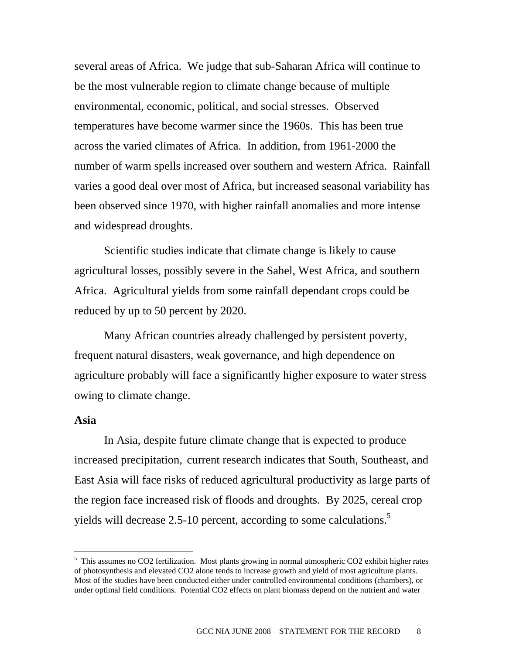several areas of Africa. We judge that sub-Saharan Africa will continue to be the most vulnerable region to climate change because of multiple environmental, economic, political, and social stresses. Observed temperatures have become warmer since the 1960s. This has been true across the varied climates of Africa. In addition, from 1961-2000 the number of warm spells increased over southern and western Africa. Rainfall varies a good deal over most of Africa, but increased seasonal variability has been observed since 1970, with higher rainfall anomalies and more intense and widespread droughts.

 Scientific studies indicate that climate change is likely to cause agricultural losses, possibly severe in the Sahel, West Africa, and southern Africa. Agricultural yields from some rainfall dependant crops could be reduced by up to 50 percent by 2020.

 Many African countries already challenged by persistent poverty, frequent natural disasters, weak governance, and high dependence on agriculture probably will face a significantly higher exposure to water stress owing to climate change.

#### **Asia**

 $\overline{a}$ 

In Asia, despite future climate change that is expected to produce increased precipitation, current research indicates that South, Southeast, and East Asia will face risks of reduced agricultural productivity as large parts of the region face increased risk of floods and droughts. By 2025, cereal crop yields will decrease 2.5-10 percent, according to some calculations.<sup>5</sup>

<sup>&</sup>lt;sup>5</sup> This assumes no CO2 fertilization. Most plants growing in normal atmospheric CO2 exhibit higher rates of photosynthesis and elevated CO2 alone tends to increase growth and yield of most agriculture plants. Most of the studies have been conducted either under controlled environmental conditions (chambers), or under optimal field conditions. Potential CO2 effects on plant biomass depend on the nutrient and water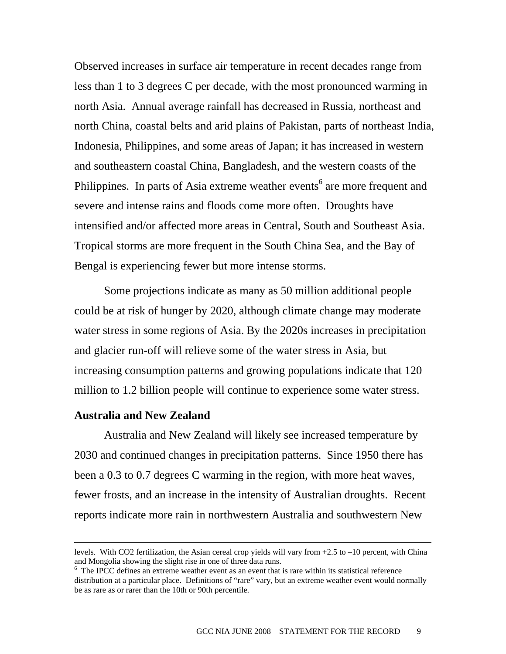Observed increases in surface air temperature in recent decades range from less than 1 to 3 degrees C per decade, with the most pronounced warming in north Asia. Annual average rainfall has decreased in Russia, northeast and north China, coastal belts and arid plains of Pakistan, parts of northeast India, Indonesia, Philippines, and some areas of Japan; it has increased in western and southeastern coastal China, Bangladesh, and the western coasts of the Philippines. In parts of Asia extreme weather events<sup>6</sup> are more frequent and severe and intense rains and floods come more often. Droughts have intensified and/or affected more areas in Central, South and Southeast Asia. Tropical storms are more frequent in the South China Sea, and the Bay of Bengal is experiencing fewer but more intense storms.

 Some projections indicate as many as 50 million additional people could be at risk of hunger by 2020, although climate change may moderate water stress in some regions of Asia. By the 2020s increases in precipitation and glacier run-off will relieve some of the water stress in Asia, but increasing consumption patterns and growing populations indicate that 120 million to 1.2 billion people will continue to experience some water stress.

#### **Australia and New Zealand**

 Australia and New Zealand will likely see increased temperature by 2030 and continued changes in precipitation patterns. Since 1950 there has been a 0.3 to 0.7 degrees C warming in the region, with more heat waves, fewer frosts, and an increase in the intensity of Australian droughts. Recent reports indicate more rain in northwestern Australia and southwestern New

levels. With CO2 fertilization, the Asian cereal crop yields will vary from +2.5 to –10 percent, with China and Mongolia showing the slight rise in one of three data runs.

<sup>&</sup>lt;sup>6</sup> The IPCC defines an extreme weather event as an event that is rare within its statistical reference distribution at a particular place. Definitions of "rare" vary, but an extreme weather event would normally be as rare as or rarer than the 10th or 90th percentile.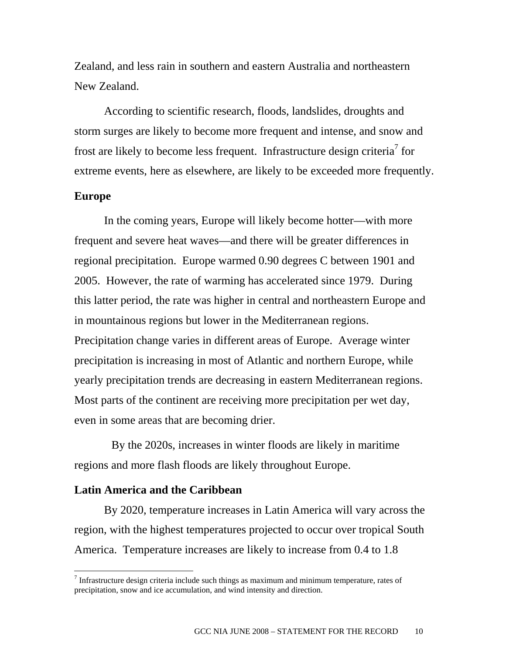Zealand, and less rain in southern and eastern Australia and northeastern New Zealand.

 According to scientific research, floods, landslides, droughts and storm surges are likely to become more frequent and intense, and snow and frost are likely to become less frequent. Infrastructure design criteria<sup>7</sup> for extreme events, here as elsewhere, are likely to be exceeded more frequently.

#### **Europe**

 $\overline{a}$ 

 In the coming years, Europe will likely become hotter—with more frequent and severe heat waves—and there will be greater differences in regional precipitation. Europe warmed 0.90 degrees C between 1901 and 2005. However, the rate of warming has accelerated since 1979. During this latter period, the rate was higher in central and northeastern Europe and in mountainous regions but lower in the Mediterranean regions. Precipitation change varies in different areas of Europe. Average winter precipitation is increasing in most of Atlantic and northern Europe, while yearly precipitation trends are decreasing in eastern Mediterranean regions. Most parts of the continent are receiving more precipitation per wet day, even in some areas that are becoming drier.

 By the 2020s, increases in winter floods are likely in maritime regions and more flash floods are likely throughout Europe.

#### **Latin America and the Caribbean**

 By 2020, temperature increases in Latin America will vary across the region, with the highest temperatures projected to occur over tropical South America. Temperature increases are likely to increase from 0.4 to 1.8

 $<sup>7</sup>$  Infrastructure design criteria include such things as maximum and minimum temperature, rates of</sup> precipitation, snow and ice accumulation, and wind intensity and direction.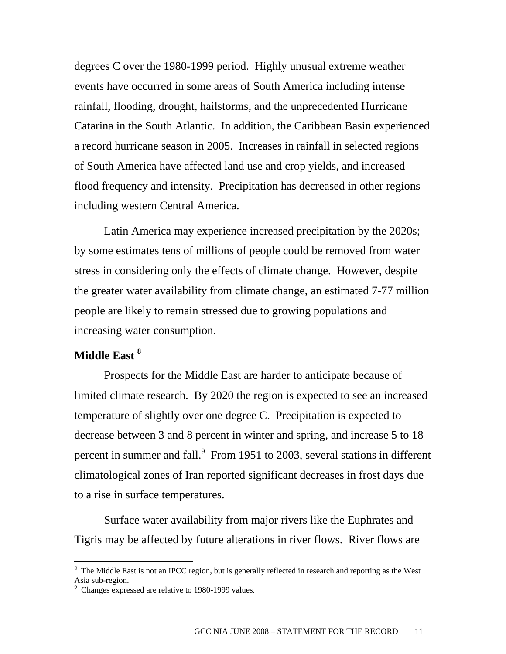degrees C over the 1980-1999 period. Highly unusual extreme weather events have occurred in some areas of South America including intense rainfall, flooding, drought, hailstorms, and the unprecedented Hurricane Catarina in the South Atlantic. In addition, the Caribbean Basin experienced a record hurricane season in 2005. Increases in rainfall in selected regions of South America have affected land use and crop yields, and increased flood frequency and intensity. Precipitation has decreased in other regions including western Central America.

 Latin America may experience increased precipitation by the 2020s; by some estimates tens of millions of people could be removed from water stress in considering only the effects of climate change. However, despite the greater water availability from climate change, an estimated 7-77 million people are likely to remain stressed due to growing populations and increasing water consumption.

### **Middle East 8**

 $\overline{a}$ 

 Prospects for the Middle East are harder to anticipate because of limited climate research. By 2020 the region is expected to see an increased temperature of slightly over one degree C. Precipitation is expected to decrease between 3 and 8 percent in winter and spring, and increase 5 to 18 percent in summer and fall. $9$  From 1951 to 2003, several stations in different climatological zones of Iran reported significant decreases in frost days due to a rise in surface temperatures.

 Surface water availability from major rivers like the Euphrates and Tigris may be affected by future alterations in river flows. River flows are

<sup>&</sup>lt;sup>8</sup> The Middle East is not an IPCC region, but is generally reflected in research and reporting as the West Asia sub-region.<br><sup>9</sup> Changes expres

Changes expressed are relative to 1980-1999 values.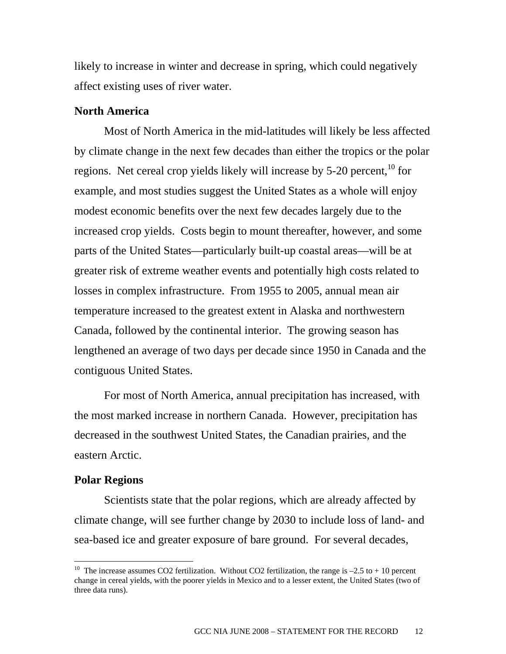likely to increase in winter and decrease in spring, which could negatively affect existing uses of river water.

#### **North America**

Most of North America in the mid-latitudes will likely be less affected by climate change in the next few decades than either the tropics or the polar regions. Net cereal crop yields likely will increase by  $5\text{-}20$  percent,  $\frac{10}{10}$  for example, and most studies suggest the United States as a whole will enjoy modest economic benefits over the next few decades largely due to the increased crop yields. Costs begin to mount thereafter, however, and some parts of the United States—particularly built-up coastal areas—will be at greater risk of extreme weather events and potentially high costs related to losses in complex infrastructure. From 1955 to 2005, annual mean air temperature increased to the greatest extent in Alaska and northwestern Canada, followed by the continental interior. The growing season has lengthened an average of two days per decade since 1950 in Canada and the contiguous United States.

 For most of North America, annual precipitation has increased, with the most marked increase in northern Canada. However, precipitation has decreased in the southwest United States, the Canadian prairies, and the eastern Arctic.

#### **Polar Regions**

 $\overline{a}$ 

Scientists state that the polar regions, which are already affected by climate change, will see further change by 2030 to include loss of land- and sea-based ice and greater exposure of bare ground. For several decades,

<sup>&</sup>lt;sup>10</sup> The increase assumes CO2 fertilization. Without CO2 fertilization, the range is  $-2.5$  to + 10 percent change in cereal yields, with the poorer yields in Mexico and to a lesser extent, the United States (two of three data runs).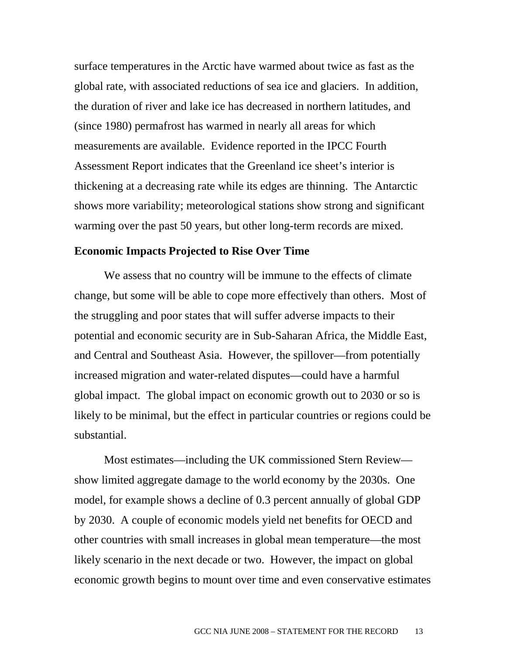surface temperatures in the Arctic have warmed about twice as fast as the global rate, with associated reductions of sea ice and glaciers. In addition, the duration of river and lake ice has decreased in northern latitudes, and (since 1980) permafrost has warmed in nearly all areas for which measurements are available. Evidence reported in the IPCC Fourth Assessment Report indicates that the Greenland ice sheet's interior is thickening at a decreasing rate while its edges are thinning. The Antarctic shows more variability; meteorological stations show strong and significant warming over the past 50 years, but other long-term records are mixed.

#### **Economic Impacts Projected to Rise Over Time**

 We assess that no country will be immune to the effects of climate change, but some will be able to cope more effectively than others. Most of the struggling and poor states that will suffer adverse impacts to their potential and economic security are in Sub-Saharan Africa, the Middle East, and Central and Southeast Asia. However, the spillover—from potentially increased migration and water-related disputes—could have a harmful global impact. The global impact on economic growth out to 2030 or so is likely to be minimal, but the effect in particular countries or regions could be substantial.

 Most estimates—including the UK commissioned Stern Review show limited aggregate damage to the world economy by the 2030s. One model, for example shows a decline of 0.3 percent annually of global GDP by 2030. A couple of economic models yield net benefits for OECD and other countries with small increases in global mean temperature—the most likely scenario in the next decade or two. However, the impact on global economic growth begins to mount over time and even conservative estimates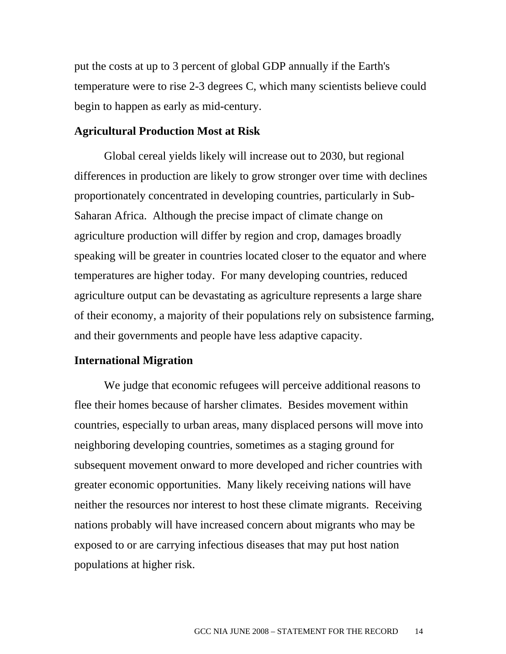put the costs at up to 3 percent of global GDP annually if the Earth's temperature were to rise 2-3 degrees C, which many scientists believe could begin to happen as early as mid-century.

#### **Agricultural Production Most at Risk**

 Global cereal yields likely will increase out to 2030, but regional differences in production are likely to grow stronger over time with declines proportionately concentrated in developing countries, particularly in Sub-Saharan Africa. Although the precise impact of climate change on agriculture production will differ by region and crop, damages broadly speaking will be greater in countries located closer to the equator and where temperatures are higher today. For many developing countries, reduced agriculture output can be devastating as agriculture represents a large share of their economy, a majority of their populations rely on subsistence farming, and their governments and people have less adaptive capacity.

#### **International Migration**

We judge that economic refugees will perceive additional reasons to flee their homes because of harsher climates. Besides movement within countries, especially to urban areas, many displaced persons will move into neighboring developing countries, sometimes as a staging ground for subsequent movement onward to more developed and richer countries with greater economic opportunities. Many likely receiving nations will have neither the resources nor interest to host these climate migrants. Receiving nations probably will have increased concern about migrants who may be exposed to or are carrying infectious diseases that may put host nation populations at higher risk.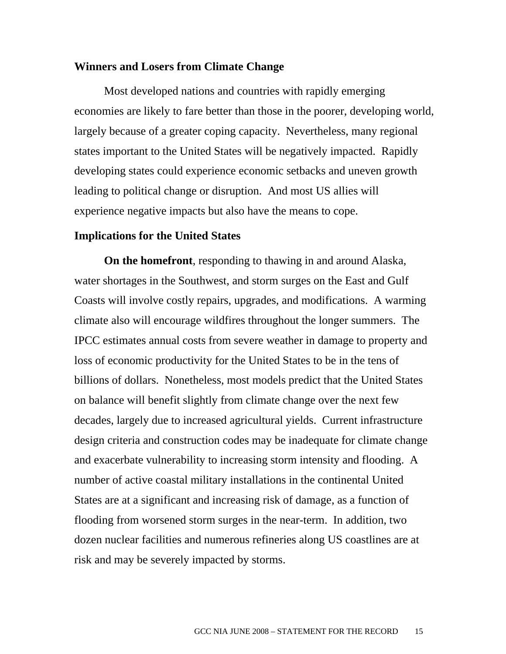#### **Winners and Losers from Climate Change**

 Most developed nations and countries with rapidly emerging economies are likely to fare better than those in the poorer, developing world, largely because of a greater coping capacity. Nevertheless, many regional states important to the United States will be negatively impacted. Rapidly developing states could experience economic setbacks and uneven growth leading to political change or disruption. And most US allies will experience negative impacts but also have the means to cope.

#### **Implications for the United States**

 **On the homefront**, responding to thawing in and around Alaska, water shortages in the Southwest, and storm surges on the East and Gulf Coasts will involve costly repairs, upgrades, and modifications. A warming climate also will encourage wildfires throughout the longer summers. The IPCC estimates annual costs from severe weather in damage to property and loss of economic productivity for the United States to be in the tens of billions of dollars. Nonetheless, most models predict that the United States on balance will benefit slightly from climate change over the next few decades, largely due to increased agricultural yields. Current infrastructure design criteria and construction codes may be inadequate for climate change and exacerbate vulnerability to increasing storm intensity and flooding. A number of active coastal military installations in the continental United States are at a significant and increasing risk of damage, as a function of flooding from worsened storm surges in the near-term. In addition, two dozen nuclear facilities and numerous refineries along US coastlines are at risk and may be severely impacted by storms.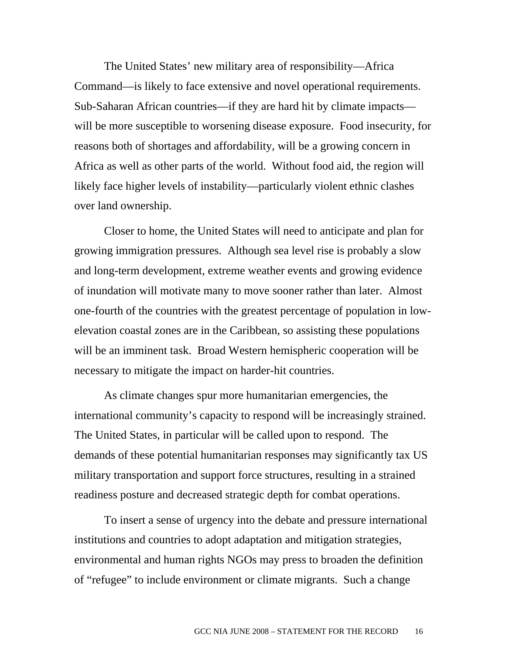The United States' new military area of responsibility—Africa Command—is likely to face extensive and novel operational requirements. Sub-Saharan African countries—if they are hard hit by climate impacts will be more susceptible to worsening disease exposure. Food insecurity, for reasons both of shortages and affordability, will be a growing concern in Africa as well as other parts of the world. Without food aid, the region will likely face higher levels of instability—particularly violent ethnic clashes over land ownership.

 Closer to home, the United States will need to anticipate and plan for growing immigration pressures. Although sea level rise is probably a slow and long-term development, extreme weather events and growing evidence of inundation will motivate many to move sooner rather than later. Almost one-fourth of the countries with the greatest percentage of population in lowelevation coastal zones are in the Caribbean, so assisting these populations will be an imminent task. Broad Western hemispheric cooperation will be necessary to mitigate the impact on harder-hit countries.

 As climate changes spur more humanitarian emergencies, the international community's capacity to respond will be increasingly strained. The United States, in particular will be called upon to respond. The demands of these potential humanitarian responses may significantly tax US military transportation and support force structures, resulting in a strained readiness posture and decreased strategic depth for combat operations.

 To insert a sense of urgency into the debate and pressure international institutions and countries to adopt adaptation and mitigation strategies, environmental and human rights NGOs may press to broaden the definition of "refugee" to include environment or climate migrants. Such a change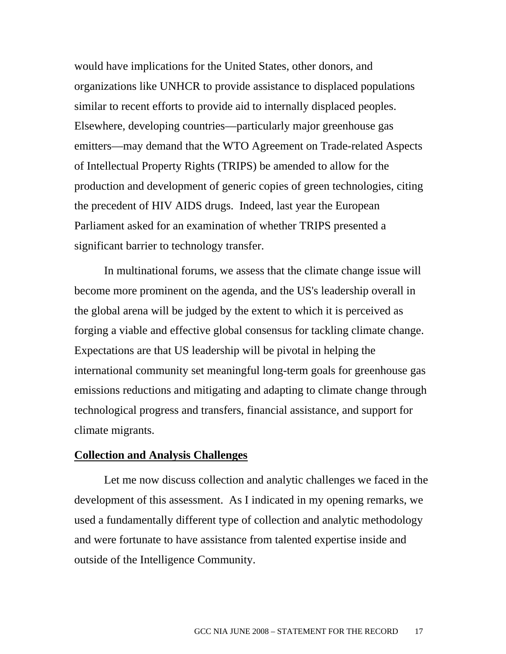would have implications for the United States, other donors, and organizations like UNHCR to provide assistance to displaced populations similar to recent efforts to provide aid to internally displaced peoples. Elsewhere, developing countries—particularly major greenhouse gas emitters—may demand that the WTO Agreement on Trade-related Aspects of Intellectual Property Rights (TRIPS) be amended to allow for the production and development of generic copies of green technologies, citing the precedent of HIV AIDS drugs. Indeed, last year the European Parliament asked for an examination of whether TRIPS presented a significant barrier to technology transfer.

 In multinational forums, we assess that the climate change issue will become more prominent on the agenda, and the US's leadership overall in the global arena will be judged by the extent to which it is perceived as forging a viable and effective global consensus for tackling climate change. Expectations are that US leadership will be pivotal in helping the international community set meaningful long-term goals for greenhouse gas emissions reductions and mitigating and adapting to climate change through technological progress and transfers, financial assistance, and support for climate migrants.

#### **Collection and Analysis Challenges**

 Let me now discuss collection and analytic challenges we faced in the development of this assessment. As I indicated in my opening remarks, we used a fundamentally different type of collection and analytic methodology and were fortunate to have assistance from talented expertise inside and outside of the Intelligence Community.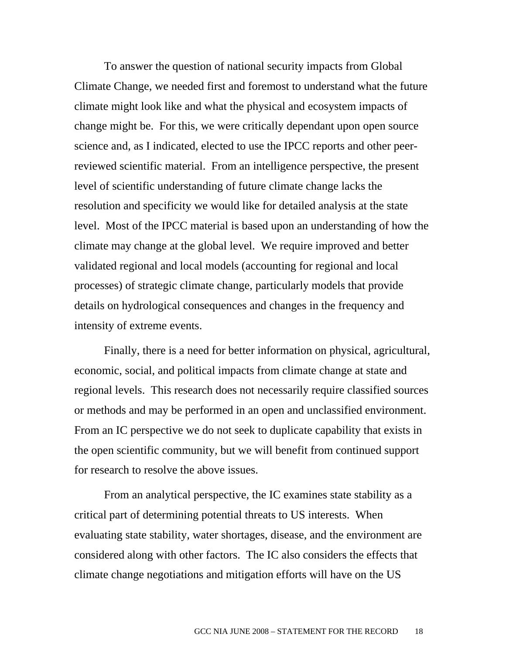To answer the question of national security impacts from Global Climate Change, we needed first and foremost to understand what the future climate might look like and what the physical and ecosystem impacts of change might be. For this, we were critically dependant upon open source science and, as I indicated, elected to use the IPCC reports and other peerreviewed scientific material. From an intelligence perspective, the present level of scientific understanding of future climate change lacks the resolution and specificity we would like for detailed analysis at the state level. Most of the IPCC material is based upon an understanding of how the climate may change at the global level. We require improved and better validated regional and local models (accounting for regional and local processes) of strategic climate change, particularly models that provide details on hydrological consequences and changes in the frequency and intensity of extreme events.

 Finally, there is a need for better information on physical, agricultural, economic, social, and political impacts from climate change at state and regional levels. This research does not necessarily require classified sources or methods and may be performed in an open and unclassified environment. From an IC perspective we do not seek to duplicate capability that exists in the open scientific community, but we will benefit from continued support for research to resolve the above issues.

 From an analytical perspective, the IC examines state stability as a critical part of determining potential threats to US interests. When evaluating state stability, water shortages, disease, and the environment are considered along with other factors. The IC also considers the effects that climate change negotiations and mitigation efforts will have on the US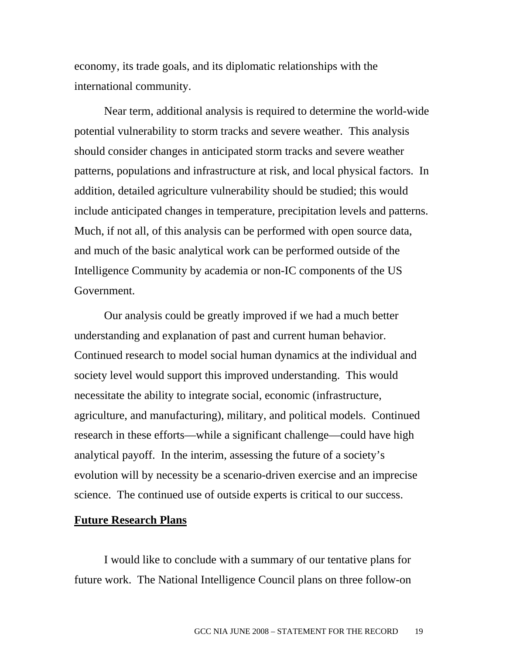economy, its trade goals, and its diplomatic relationships with the international community.

 Near term, additional analysis is required to determine the world-wide potential vulnerability to storm tracks and severe weather. This analysis should consider changes in anticipated storm tracks and severe weather patterns, populations and infrastructure at risk, and local physical factors. In addition, detailed agriculture vulnerability should be studied; this would include anticipated changes in temperature, precipitation levels and patterns. Much, if not all, of this analysis can be performed with open source data, and much of the basic analytical work can be performed outside of the Intelligence Community by academia or non-IC components of the US Government.

 Our analysis could be greatly improved if we had a much better understanding and explanation of past and current human behavior. Continued research to model social human dynamics at the individual and society level would support this improved understanding. This would necessitate the ability to integrate social, economic (infrastructure, agriculture, and manufacturing), military, and political models. Continued research in these efforts—while a significant challenge—could have high analytical payoff. In the interim, assessing the future of a society's evolution will by necessity be a scenario-driven exercise and an imprecise science. The continued use of outside experts is critical to our success.

#### **Future Research Plans**

I would like to conclude with a summary of our tentative plans for future work. The National Intelligence Council plans on three follow-on